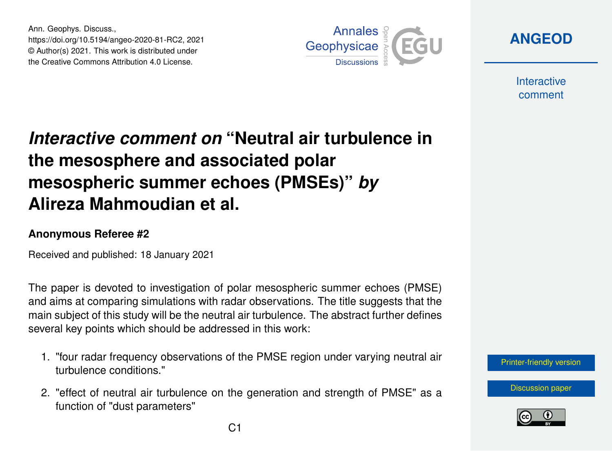Ann. Geophys. Discuss., https://doi.org/10.5194/angeo-2020-81-RC2, 2021 © Author(s) 2021. This work is distributed under the Creative Commons Attribution 4.0 License.



**[ANGEOD](https://angeo.copernicus.org/preprints/)**

**Interactive** comment

## *Interactive comment on* **"Neutral air turbulence in the mesosphere and associated polar mesospheric summer echoes (PMSEs)"** *by* **Alireza Mahmoudian et al.**

## **Anonymous Referee #2**

Received and published: 18 January 2021

The paper is devoted to investigation of polar mesospheric summer echoes (PMSE) and aims at comparing simulations with radar observations. The title suggests that the main subject of this study will be the neutral air turbulence. The abstract further defines several key points which should be addressed in this work:

- 1. "four radar frequency observations of the PMSE region under varying neutral air turbulence conditions."
- 2. "effect of neutral air turbulence on the generation and strength of PMSE" as a function of "dust parameters"

[Printer-friendly version](https://angeo.copernicus.org/preprints/angeo-2020-81/angeo-2020-81-RC2-print.pdf)

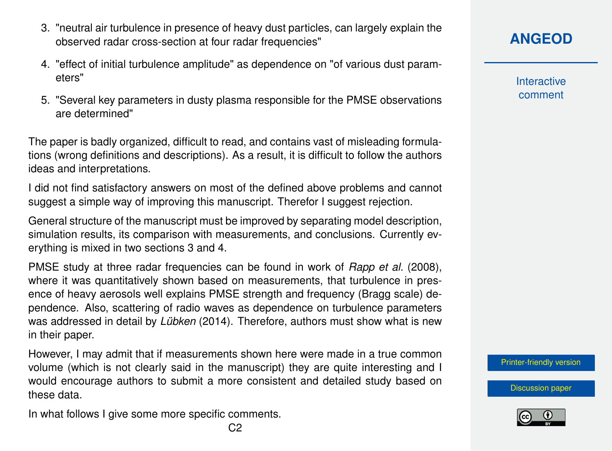- 3. "neutral air turbulence in presence of heavy dust particles, can largely explain the observed radar cross-section at four radar frequencies"
- 4. "effect of initial turbulence amplitude" as dependence on "of various dust parameters"
- 5. "Several key parameters in dusty plasma responsible for the PMSE observations are determined"

The paper is badly organized, difficult to read, and contains vast of misleading formulations (wrong definitions and descriptions). As a result, it is difficult to follow the authors ideas and interpretations.

I did not find satisfactory answers on most of the defined above problems and cannot suggest a simple way of improving this manuscript. Therefor I suggest rejection.

General structure of the manuscript must be improved by separating model description, simulation results, its comparison with measurements, and conclusions. Currently everything is mixed in two sections 3 and 4.

PMSE study at three radar frequencies can be found in work of *[Rapp et al.](#page-3-0)* [\(2008\)](#page-3-0), where it was quantitatively shown based on measurements, that turbulence in presence of heavy aerosols well explains PMSE strength and frequency (Bragg scale) dependence. Also, scattering of radio waves as dependence on turbulence parameters was addressed in detail by *[Lübken](#page-3-0)* [\(2014\)](#page-3-0). Therefore, authors must show what is new in their paper.

However, I may admit that if measurements shown here were made in a true common volume (which is not clearly said in the manuscript) they are quite interesting and I would encourage authors to submit a more consistent and detailed study based on these data.

In what follows I give some more specific comments.

**Interactive** comment

[Printer-friendly version](https://angeo.copernicus.org/preprints/angeo-2020-81/angeo-2020-81-RC2-print.pdf)

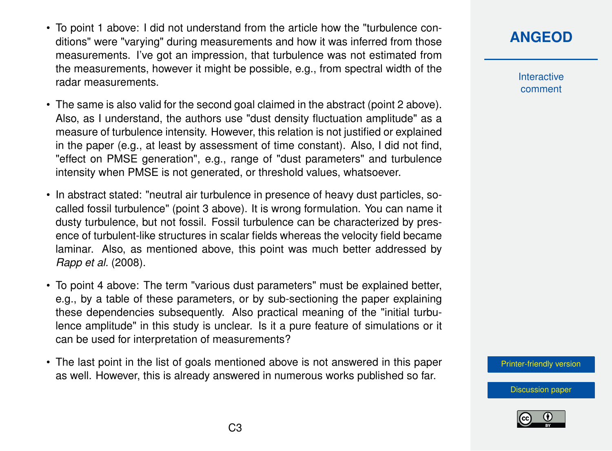- To point 1 above: I did not understand from the article how the "turbulence conditions" were "varying" during measurements and how it was inferred from those measurements. I've got an impression, that turbulence was not estimated from the measurements, however it might be possible, e.g., from spectral width of the radar measurements.
- The same is also valid for the second goal claimed in the abstract (point 2 above). Also, as I understand, the authors use "dust density fluctuation amplitude" as a measure of turbulence intensity. However, this relation is not justified or explained in the paper (e.g., at least by assessment of time constant). Also, I did not find, "effect on PMSE generation", e.g., range of "dust parameters" and turbulence intensity when PMSE is not generated, or threshold values, whatsoever.
- In abstract stated: "neutral air turbulence in presence of heavy dust particles, socalled fossil turbulence" (point 3 above). It is wrong formulation. You can name it dusty turbulence, but not fossil. Fossil turbulence can be characterized by presence of turbulent-like structures in scalar fields whereas the velocity field became laminar. Also, as mentioned above, this point was much better addressed by *[Rapp et al.](#page-3-0)* [\(2008\)](#page-3-0).
- To point 4 above: The term "various dust parameters" must be explained better, e.g., by a table of these parameters, or by sub-sectioning the paper explaining these dependencies subsequently. Also practical meaning of the "initial turbulence amplitude" in this study is unclear. Is it a pure feature of simulations or it can be used for interpretation of measurements?
- The last point in the list of goals mentioned above is not answered in this paper as well. However, this is already answered in numerous works published so far.

**[ANGEOD](https://angeo.copernicus.org/preprints/)**

Interactive comment

[Printer-friendly version](https://angeo.copernicus.org/preprints/angeo-2020-81/angeo-2020-81-RC2-print.pdf)